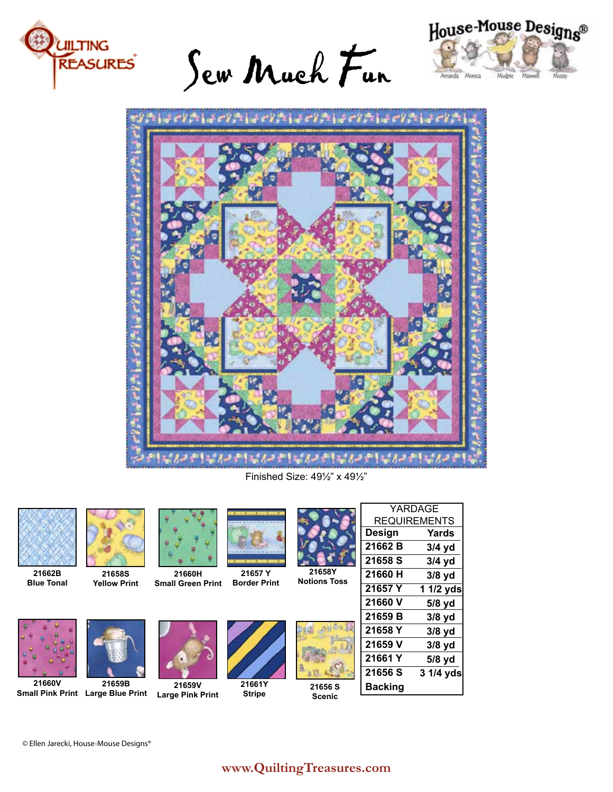

Sew Much Fun





Finished Size: 49½" x 49½"



**21662B Blue Tonal**



**21658S Yellow Print**





**Small Green Print 21657 Y Border Print**



**21658Y Notions Toss**



YARDAGE REQUIREMENTS

**21656 S Scenic**

**21660V Small Pink Print Large Blue Print Large Pink Print**



**21659B**

**21659V**

**21660H**

**21661Y Stripe**



# **www.QuiltingTreasures.com**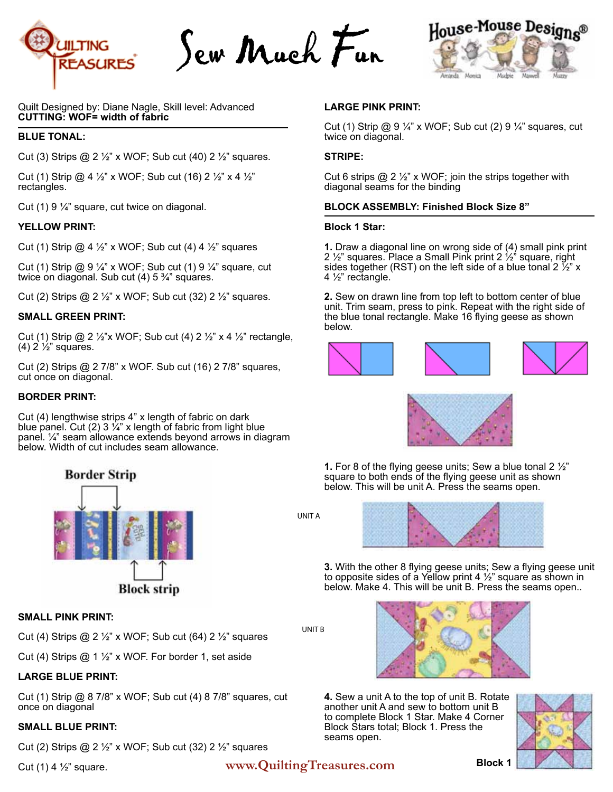

Sew Much Fun



Quilt Designed by: Diane Nagle, Skill level: Advanced **CUTTING: WOF= width of fabric**

#### **BLUE TONAL:**

Cut (3) Strips @ 2 ½" x WOF; Sub cut (40) 2 ½" squares.

Cut (1) Strip @ 4  $\frac{1}{2}$ " x WOF; Sub cut (16) 2  $\frac{1}{2}$ " x 4  $\frac{1}{2}$ " rectangles.

Cut (1) 9 ¼" square, cut twice on diagonal.

#### **YELLOW PRINT:**

Cut (1) Strip  $@$  4  $\frac{1}{2}$ " x WOF; Sub cut (4) 4  $\frac{1}{2}$ " squares

Cut (1) Strip @ 9 ¼" x WOF; Sub cut (1) 9 ¼" square, cut twice on diagonal. Sub cut  $(4)$  5  $\frac{3}{4}$ " squares.

Cut (2) Strips  $@$  2  $\frac{1}{2}$ " x WOF; Sub cut (32) 2  $\frac{1}{2}$ " squares.

#### **SMALL GREEN PRINT:**

Cut (1) Strip @ 2  $\frac{1}{2}$ "x WOF; Sub cut (4) 2  $\frac{1}{2}$ " x 4  $\frac{1}{2}$ " rectangle,  $(4)$  2  $\frac{1}{2}$ " squares.

Cut (2) Strips @ 2 7/8" x WOF. Sub cut (16) 2 7/8" squares, cut once on diagonal.

#### **BORDER PRINT:**

Cut (4) lengthwise strips 4" x length of fabric on dark blue panel. Cut (2) 3  $\frac{1}{4}$ " x length of fabric from light blue panel. ¼" seam allowance extends beyond arrows in diagram below. Width of cut includes seam allowance.



#### **SMALL PINK PRINT:**

Cut (4) Strips @ 2  $\frac{1}{2}$ " x WOF; Sub cut (64) 2  $\frac{1}{2}$ " squares

Cut (4) Strips @ 1 ½" x WOF. For border 1, set aside

#### **LARGE BLUE PRINT:**

Cut (1) Strip @ 8 7/8" x WOF; Sub cut (4) 8 7/8" squares, cut once on diagonal

#### **SMALL BLUE PRINT:**

Cut (2) Strips @ 2  $\frac{1}{2}$ " x WOF; Sub cut (32) 2  $\frac{1}{2}$ " squares

# Cut (1) 4 ½" square. **www.QuiltingTreasures.com**

## **LARGE PINK PRINT:**

Cut (1) Strip @ 9  $\frac{1}{4}$ " x WOF; Sub cut (2) 9  $\frac{1}{4}$ " squares, cut twice on diagonal.

#### **STRIPE:**

Cut 6 strips  $@$  2  $\frac{1}{2}$ " x WOF; join the strips together with diagonal seams for the binding

#### **BLOCK ASSEMBLY: Finished Block Size 8"**

#### **Block 1 Star:**

**1.** Draw a diagonal line on wrong side of (4) small pink print 2 ½" squares. Place a Small Pink print 2 ½" square, right sides together (RST) on the left side of a blue tonal 2  $\frac{1}{2}$ " x 4 ½" rectangle.

**2.** Sew on drawn line from top left to bottom center of blue unit. Trim seam, press to pink. Repeat with the right side of the blue tonal rectangle. Make 16 flying geese as shown below.





**1.** For 8 of the flying geese units; Sew a blue tonal 2 ½" square to both ends of the flying geese unit as shown below. This will be unit A. Press the seams open.

UNIT A



**3.** With the other 8 flying geese units; Sew a flying geese unit to opposite sides of a Yellow print 4  $\frac{1}{2}$ " square as shown in below. Make 4. This will be unit B. Press the seams open..

UNIT B



**4.** Sew a unit A to the top of unit B. Rotate another unit A and sew to bottom unit B to complete Block 1 Star. Make 4 Corner Block Stars total; Block 1. Press the seams open.



**Block 1**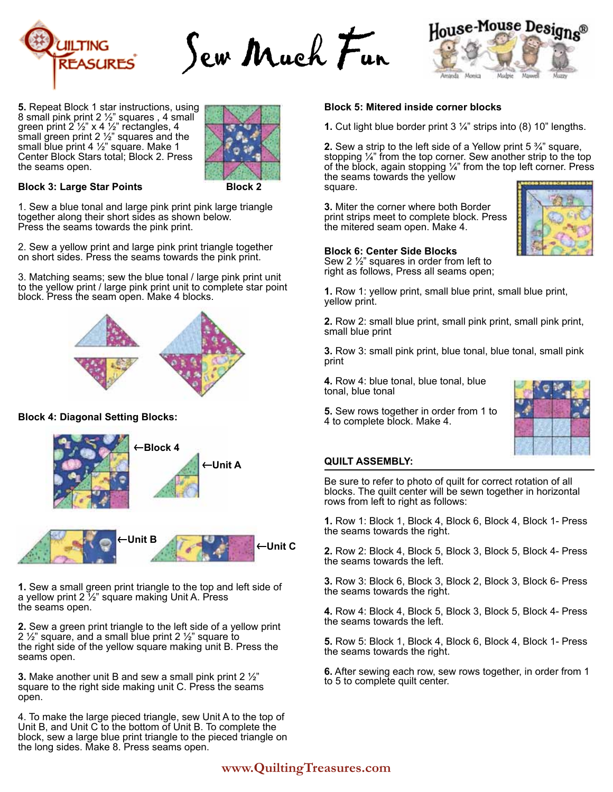

Sew Much Fun





#### **Block 3: Large Star Points**

**Block 2**

1. Sew a blue tonal and large pink print pink large triangle together along their short sides as shown below. Press the seams towards the pink print.

2. Sew a yellow print and large pink print triangle together on short sides. Press the seams towards the pink print.

3. Matching seams; sew the blue tonal / large pink print unit to the yellow print / large pink print unit to complete star point block. Press the seam open. Make 4 blocks.



## **Block 4: Diagonal Setting Blocks:**



**1.** Sew a small green print triangle to the top and left side of a yellow print 2 ½" square making Unit A. Press the seams open.

**2.** Sew a green print triangle to the left side of a yellow print 2  $\frac{1}{2}$  square, and a small blue print 2  $\frac{1}{2}$  square to the right side of the yellow square making unit B. Press the seams open.

**3.** Make another unit B and sew a small pink print 2 ½" square to the right side making unit C. Press the seams open.

4. To make the large pieced triangle, sew Unit A to the top of Unit B, and Unit C to the bottom of Unit B. To complete the block, sew a large blue print triangle to the pieced triangle on the long sides. Make 8. Press seams open.

#### **Block 5: Mitered inside corner blocks**

**1.** Cut light blue border print 3 ¼" strips into (8) 10" lengths.

nds

**Montes** 

House-Mouse Designs®

Mistri

**2.** Sew a strip to the left side of a Yellow print 5 ¾" square, stopping  $\frac{1}{4}$ " from the top corner. Sew another strip to the top of the block, again stopping  $\frac{1}{4}$ " from the top left corner. Press the seams towards the yellow square.

**3.** Miter the corner where both Border print strips meet to complete block. Press the mitered seam open. Make 4.



#### **Block 6: Center Side Blocks**

Sew 2 ½" squares in order from left to right as follows, Press all seams open;

**1.** Row 1: yellow print, small blue print, small blue print, yellow print.

**2.** Row 2: small blue print, small pink print, small pink print, small blue print

**3.** Row 3: small pink print, blue tonal, blue tonal, small pink print

**4.** Row 4: blue tonal, blue tonal, blue tonal, blue tonal

**5.** Sew rows together in order from 1 to 4 to complete block. Make 4.



#### **QUILT ASSEMBLY:**

Be sure to refer to photo of quilt for correct rotation of all blocks. The quilt center will be sewn together in horizontal rows from left to right as follows:

**1.** Row 1: Block 1, Block 4, Block 6, Block 4, Block 1- Press the seams towards the right.

**2.** Row 2: Block 4, Block 5, Block 3, Block 5, Block 4- Press the seams towards the left.

**3.** Row 3: Block 6, Block 3, Block 2, Block 3, Block 6- Press the seams towards the right.

**4.** Row 4: Block 4, Block 5, Block 3, Block 5, Block 4- Press the seams towards the left.

**5.** Row 5: Block 1, Block 4, Block 6, Block 4, Block 1- Press the seams towards the right.

**6.** After sewing each row, sew rows together, in order from 1 to 5 to complete quilt center.